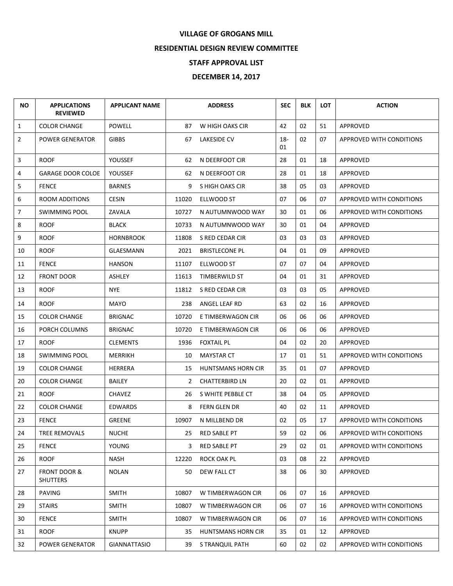## **VILLAGE OF GROGANS MILL**

## **RESIDENTIAL DESIGN REVIEW COMMITTEE**

## **STAFF APPROVAL LIST**

## **DECEMBER 14, 2017**

| ΝO             | <b>APPLICATIONS</b><br><b>REVIEWED</b> | <b>APPLICANT NAME</b> |       | <b>ADDRESS</b>        | <b>SEC</b>   | <b>BLK</b> | <b>LOT</b> | <b>ACTION</b>            |
|----------------|----------------------------------------|-----------------------|-------|-----------------------|--------------|------------|------------|--------------------------|
| $\mathbf{1}$   | <b>COLOR CHANGE</b>                    | <b>POWELL</b>         | 87    | W HIGH OAKS CIR       | 42           | 02         | 51         | APPROVED                 |
| $\overline{2}$ | POWER GENERATOR                        | <b>GIBBS</b>          | 67    | <b>LAKESIDE CV</b>    | $18 -$<br>01 | 02         | 07         | APPROVED WITH CONDITIONS |
| 3              | <b>ROOF</b>                            | <b>YOUSSEF</b>        | 62    | N DEERFOOT CIR        | 28           | 01         | 18         | APPROVED                 |
| 4              | <b>GARAGE DOOR COLOE</b>               | YOUSSEF               | 62    | N DEERFOOT CIR        | 28           | 01         | 18         | APPROVED                 |
| 5              | <b>FENCE</b>                           | <b>BARNES</b>         | 9     | S HIGH OAKS CIR       | 38           | 05         | 03         | APPROVED                 |
| 6              | ROOM ADDITIONS                         | <b>CESIN</b>          | 11020 | ELLWOOD ST            | 07           | 06         | 07         | APPROVED WITH CONDITIONS |
| $\overline{7}$ | <b>SWIMMING POOL</b>                   | ZAVALA                | 10727 | N AUTUMNWOOD WAY      | 30           | 01         | 06         | APPROVED WITH CONDITIONS |
| 8              | <b>ROOF</b>                            | <b>BLACK</b>          | 10733 | N AUTUMNWOOD WAY      | 30           | 01         | 04         | APPROVED                 |
| 9              | <b>ROOF</b>                            | <b>HORNBROOK</b>      | 11808 | S RED CEDAR CIR       | 03           | 03         | 03         | APPROVED                 |
| 10             | <b>ROOF</b>                            | GLAESMANN             | 2021  | <b>BRISTLECONE PL</b> | 04           | 01         | 09         | APPROVED                 |
| 11             | <b>FENCE</b>                           | <b>HANSON</b>         | 11107 | ELLWOOD ST            | 07           | 07         | 04         | APPROVED                 |
| 12             | <b>FRONT DOOR</b>                      | <b>ASHLEY</b>         | 11613 | TIMBERWILD ST         | 04           | 01         | 31         | APPROVED                 |
| 13             | <b>ROOF</b>                            | <b>NYE</b>            | 11812 | S RED CEDAR CIR       | 03           | 03         | 05         | APPROVED                 |
| 14             | <b>ROOF</b>                            | MAYO                  | 238   | ANGEL LEAF RD         | 63           | 02         | 16         | APPROVED                 |
| 15             | <b>COLOR CHANGE</b>                    | <b>BRIGNAC</b>        | 10720 | E TIMBERWAGON CIR     | 06           | 06         | 06         | APPROVED                 |
| 16             | PORCH COLUMNS                          | <b>BRIGNAC</b>        | 10720 | E TIMBERWAGON CIR     | 06           | 06         | 06         | APPROVED                 |
| 17             | <b>ROOF</b>                            | <b>CLEMENTS</b>       | 1936  | <b>FOXTAIL PL</b>     | 04           | 02         | 20         | APPROVED                 |
| 18             | <b>SWIMMING POOL</b>                   | <b>MERRIKH</b>        | 10    | <b>MAYSTAR CT</b>     | 17           | 01         | 51         | APPROVED WITH CONDITIONS |
| 19             | <b>COLOR CHANGE</b>                    | HERRERA               | 15    | HUNTSMANS HORN CIR    | 35           | 01         | 07         | APPROVED                 |
| 20             | <b>COLOR CHANGE</b>                    | <b>BAILEY</b>         | 2     | <b>CHATTERBIRD LN</b> | 20           | 02         | 01         | APPROVED                 |
| 21             | <b>ROOF</b>                            | <b>CHAVEZ</b>         | 26    | S WHITE PEBBLE CT     | 38           | 04         | 05         | APPROVED                 |
| 22             | <b>COLOR CHANGE</b>                    | <b>EDWARDS</b>        | 8     | FERN GLEN DR          | 40           | 02         | 11         | APPROVED                 |
| 23             | <b>FENCE</b>                           | <b>GREENE</b>         | 10907 | N MILLBEND DR         | 02           | 05         | 17         | APPROVED WITH CONDITIONS |
| 24             | <b>TREE REMOVALS</b>                   | <b>NUCHE</b>          | 25    | RED SABLE PT          | 59           | 02         | 06         | APPROVED WITH CONDITIONS |
| 25             | <b>FENCE</b>                           | <b>YOUNG</b>          | 3     | <b>RED SABLE PT</b>   | 29           | 02         | 01         | APPROVED WITH CONDITIONS |
| 26             | <b>ROOF</b>                            | <b>NASH</b>           | 12220 | ROCK OAK PL           | 03           | 08         | 22         | APPROVED                 |
| 27             | FRONT DOOR &<br><b>SHUTTERS</b>        | <b>NOLAN</b>          | 50    | DEW FALL CT           | 38           | 06         | 30         | APPROVED                 |
| 28             | PAVING                                 | <b>SMITH</b>          | 10807 | W TIMBERWAGON CIR     | 06           | 07         | 16         | APPROVED                 |
| 29             | <b>STAIRS</b>                          | <b>SMITH</b>          | 10807 | W TIMBERWAGON CIR     | 06           | 07         | 16         | APPROVED WITH CONDITIONS |
| 30             | <b>FENCE</b>                           | <b>SMITH</b>          | 10807 | W TIMBERWAGON CIR     | 06           | 07         | 16         | APPROVED WITH CONDITIONS |
| 31             | <b>ROOF</b>                            | <b>KNUPP</b>          | 35    | HUNTSMANS HORN CIR    | 35           | 01         | 12         | APPROVED                 |
| 32             | POWER GENERATOR                        | <b>GIANNATTASIO</b>   | 39    | S TRANQUIL PATH       | 60           | 02         | 02         | APPROVED WITH CONDITIONS |